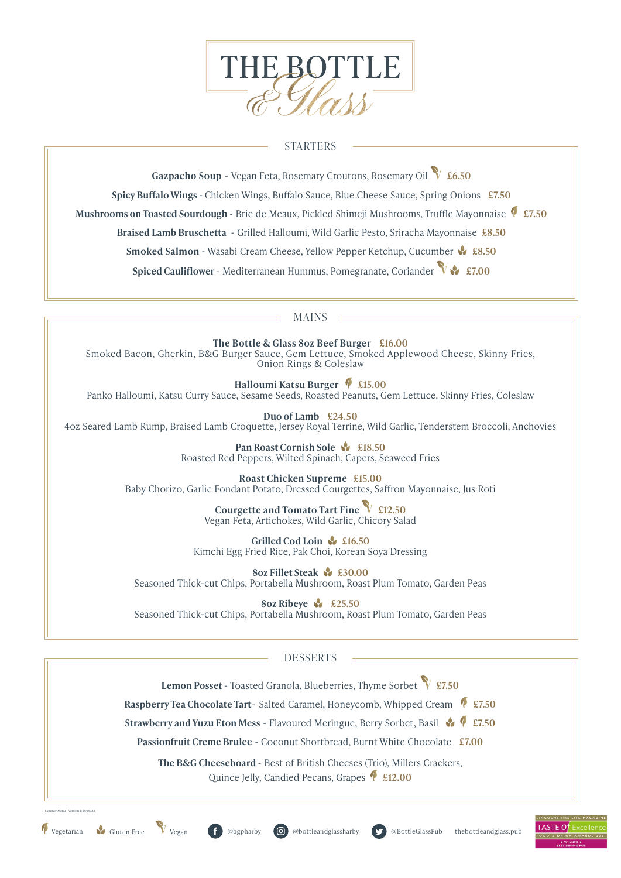

### STARTERS

**Gazpacho Soup** - Vegan Feta, Rosemary Croutons, Rosemary Oil **£6.50**

**Spicy Buffalo Wings** - Chicken Wings, Buffalo Sauce, Blue Cheese Sauce, Spring Onions **£7.50**

**Mushrooms on Toasted Sourdough** - Brie de Meaux, Pickled Shimeji Mushrooms, Truffle Mayonnaise **£7.50**

**Braised Lamb Bruschetta** - Grilled Halloumi, Wild Garlic Pesto, Sriracha Mayonnaise **£8.50**

**Smoked Salmon -** Wasabi Cream Cheese, Yellow Pepper Ketchup, Cucumber **£8.50**

**Spiced Cauliflower** - Mediterranean Hummus, Pomegranate, Coriander **£7.00**

#### MAINS

**The Bottle & Glass 8oz Beef Burger £16.00**  Smoked Bacon, Gherkin, B&G Burger Sauce, Gem Lettuce, Smoked Applewood Cheese, Skinny Fries, Onion Rings & Coleslaw

**Halloumi Katsu Burger £15.00** Panko Halloumi, Katsu Curry Sauce, Sesame Seeds, Roasted Peanuts, Gem Lettuce, Skinny Fries, Coleslaw

**Duo of Lamb £24.50** 4oz Seared Lamb Rump, Braised Lamb Croquette, Jersey Royal Terrine, Wild Garlic, Tenderstem Broccoli, Anchovies

> **Pan Roast Cornish Sole & £18.50** Roasted Red Peppers, Wilted Spinach, Capers, Seaweed Fries

**Roast Chicken Supreme £15.00** Baby Chorizo, Garlic Fondant Potato, Dressed Courgettes, Saffron Mayonnaise, Jus Roti

> **Courgette and Tomato Tart Fine £12.50** Vegan Feta, Artichokes, Wild Garlic, Chicory Salad

**Grilled Cod Loin £16.50** Kimchi Egg Fried Rice, Pak Choi, Korean Soya Dressing

**8oz Fillet Steak £30.00** Seasoned Thick-cut Chips, Portabella Mushroom, Roast Plum Tomato, Garden Peas

**8oz Ribeye £25.50** Seasoned Thick-cut Chips, Portabella Mushroom, Roast Plum Tomato, Garden Peas

# DESSERTS

**Lemon Posset** - Toasted Granola, Blueberries, Thyme Sorbet**£7.50**

**Raspberry Tea Chocolate Tart-** Salted Caramel, Honeycomb, Whipped Cream  $\bigotimes$  £7.50

**Strawberry and Yuzu Eton Mess** - Flavoured Meringue, Berry Sorbet, Basil**£7.50**

**Passionfruit Creme Brulee** - Coconut Shortbread, Burnt White Chocolate **£7.00**

**The B&G Cheeseboard** - Best of British Cheeses (Trio), Millers Crackers, Quince Jelly, Candied Pecans, Grapes**£12.00**

Summer Menu - Version 1: 09.06.22